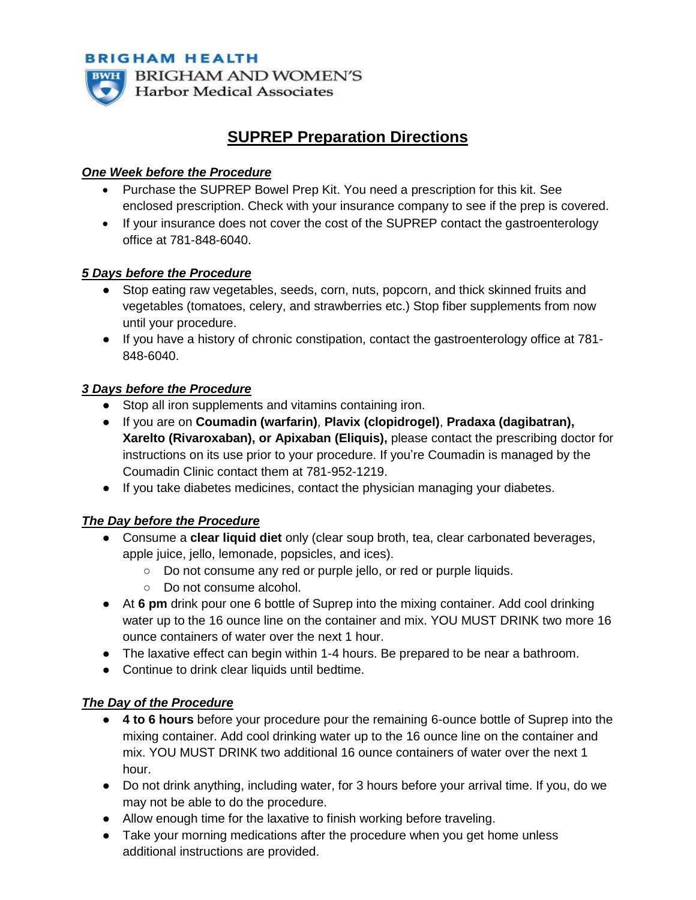**BRIGHAM HEALTH** 



**BWH BRIGHAM AND WOMEN'S Harbor Medical Associates** 

# **SUPREP Preparation Directions**

### *One Week before the Procedure*

- Purchase the SUPREP Bowel Prep Kit. You need a prescription for this kit. See enclosed prescription. Check with your insurance company to see if the prep is covered.
- If your insurance does not cover the cost of the SUPREP contact the gastroenterology office at 781-848-6040.

### *5 Days before the Procedure*

- Stop eating raw vegetables, seeds, corn, nuts, popcorn, and thick skinned fruits and vegetables (tomatoes, celery, and strawberries etc.) Stop fiber supplements from now until your procedure.
- If you have a history of chronic constipation, contact the gastroenterology office at 781- 848-6040.

# *3 Days before the Procedure*

- Stop all iron supplements and vitamins containing iron.
- If you are on **Coumadin (warfarin)**, **Plavix (clopidrogel)**, **Pradaxa (dagibatran), Xarelto (Rivaroxaban), or Apixaban (Eliquis),** please contact the prescribing doctor for instructions on its use prior to your procedure. If you're Coumadin is managed by the Coumadin Clinic contact them at 781-952-1219.
- If you take diabetes medicines, contact the physician managing your diabetes.

#### *The Day before the Procedure*

- Consume a **clear liquid diet** only (clear soup broth, tea, clear carbonated beverages, apple juice, jello, lemonade, popsicles, and ices).
	- Do not consume any red or purple jello, or red or purple liquids.
	- Do not consume alcohol.
- At **6 pm** drink pour one 6 bottle of Suprep into the mixing container. Add cool drinking water up to the 16 ounce line on the container and mix. YOU MUST DRINK two more 16 ounce containers of water over the next 1 hour.
- The laxative effect can begin within 1-4 hours. Be prepared to be near a bathroom.
- Continue to drink clear liquids until bedtime.

# *The Day of the Procedure*

- **4 to 6 hours** before your procedure pour the remaining 6-ounce bottle of Suprep into the mixing container. Add cool drinking water up to the 16 ounce line on the container and mix. YOU MUST DRINK two additional 16 ounce containers of water over the next 1 hour.
- Do not drink anything, including water, for 3 hours before your arrival time. If you, do we may not be able to do the procedure.
- Allow enough time for the laxative to finish working before traveling.
- Take your morning medications after the procedure when you get home unless additional instructions are provided.